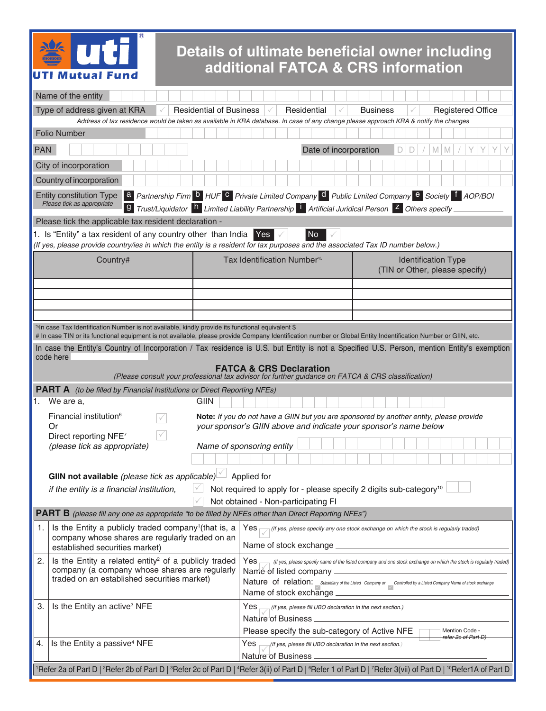

## **Details of ultimate beneficial owner including additional FATCA & CRS information**

|                                                                                                            | Name of the entity                                                                                                                                                                                                                                                                                            |                                                                                                                                                   |                                                                                                                   |                       |  |  |                 |                                |   |   |                            |                                       |  |  |
|------------------------------------------------------------------------------------------------------------|---------------------------------------------------------------------------------------------------------------------------------------------------------------------------------------------------------------------------------------------------------------------------------------------------------------|---------------------------------------------------------------------------------------------------------------------------------------------------|-------------------------------------------------------------------------------------------------------------------|-----------------------|--|--|-----------------|--------------------------------|---|---|----------------------------|---------------------------------------|--|--|
|                                                                                                            | Type of address given at KRA<br><b>Residential of Business</b>                                                                                                                                                                                                                                                |                                                                                                                                                   | Residential                                                                                                       |                       |  |  | <b>Business</b> |                                |   |   | <b>Registered Office</b>   |                                       |  |  |
|                                                                                                            | Address of tax residence would be taken as available in KRA database. In case of any change please approach KRA & notify the changes                                                                                                                                                                          |                                                                                                                                                   |                                                                                                                   |                       |  |  |                 |                                |   |   |                            |                                       |  |  |
|                                                                                                            | <b>Folio Number</b>                                                                                                                                                                                                                                                                                           |                                                                                                                                                   |                                                                                                                   |                       |  |  |                 |                                |   |   |                            |                                       |  |  |
| <b>PAN</b>                                                                                                 |                                                                                                                                                                                                                                                                                                               |                                                                                                                                                   |                                                                                                                   | Date of incorporation |  |  |                 | D.                             | D | M | M                          |                                       |  |  |
|                                                                                                            | City of incorporation                                                                                                                                                                                                                                                                                         |                                                                                                                                                   |                                                                                                                   |                       |  |  |                 |                                |   |   |                            |                                       |  |  |
|                                                                                                            | Country of incorporation                                                                                                                                                                                                                                                                                      |                                                                                                                                                   |                                                                                                                   |                       |  |  |                 |                                |   |   |                            |                                       |  |  |
|                                                                                                            | Entity constitution Type a Partnership Firm <b>b</b> HUF C Private Limited Company <b>d</b> Public Limited Company <b>e</b> Society <b>f</b> AOP/BOI<br>Please tick as appropriate<br>9 Trust/Liquidator h Limited Liability Partnership 1 Artificial Juridical Person <sup>z</sup> Others specify            |                                                                                                                                                   |                                                                                                                   |                       |  |  |                 |                                |   |   |                            |                                       |  |  |
|                                                                                                            | Please tick the applicable tax resident declaration -                                                                                                                                                                                                                                                         |                                                                                                                                                   |                                                                                                                   |                       |  |  |                 |                                |   |   |                            |                                       |  |  |
|                                                                                                            | 1. Is "Entity" a tax resident of any country other than India Yes<br>(If yes, please provide country/ies in which the entity is a resident for tax purposes and the associated Tax ID number below.)                                                                                                          |                                                                                                                                                   | No                                                                                                                |                       |  |  |                 |                                |   |   |                            |                                       |  |  |
|                                                                                                            | Country#                                                                                                                                                                                                                                                                                                      | Tax Identification Number <sup>%</sup>                                                                                                            |                                                                                                                   |                       |  |  |                 | (TIN or Other, please specify) |   |   | <b>Identification Type</b> |                                       |  |  |
|                                                                                                            |                                                                                                                                                                                                                                                                                                               |                                                                                                                                                   |                                                                                                                   |                       |  |  |                 |                                |   |   |                            |                                       |  |  |
|                                                                                                            |                                                                                                                                                                                                                                                                                                               |                                                                                                                                                   |                                                                                                                   |                       |  |  |                 |                                |   |   |                            |                                       |  |  |
|                                                                                                            |                                                                                                                                                                                                                                                                                                               |                                                                                                                                                   |                                                                                                                   |                       |  |  |                 |                                |   |   |                            |                                       |  |  |
|                                                                                                            | <sup>%</sup> In case Tax Identification Number is not available, kindly provide its functional equivalent \$                                                                                                                                                                                                  |                                                                                                                                                   |                                                                                                                   |                       |  |  |                 |                                |   |   |                            |                                       |  |  |
|                                                                                                            | # In case TIN or its functional equipment is not available, please provide Company Identification number or Global Entity Indentification Number or GIIN, etc.<br>In case the Entity's Country of Incorporation / Tax residence is U.S. but Entity is not a Specified U.S. Person, mention Entity's exemption |                                                                                                                                                   |                                                                                                                   |                       |  |  |                 |                                |   |   |                            |                                       |  |  |
|                                                                                                            | code here                                                                                                                                                                                                                                                                                                     |                                                                                                                                                   |                                                                                                                   |                       |  |  |                 |                                |   |   |                            |                                       |  |  |
|                                                                                                            |                                                                                                                                                                                                                                                                                                               | <b>FATCA &amp; CRS Declaration</b>                                                                                                                |                                                                                                                   |                       |  |  |                 |                                |   |   |                            |                                       |  |  |
|                                                                                                            | (Please consult your professional tax advisor for further guidance on FATCA & CRS classification)<br><b>PART A</b> (to be filled by Financial Institutions or Direct Reporting NFEs)                                                                                                                          |                                                                                                                                                   |                                                                                                                   |                       |  |  |                 |                                |   |   |                            |                                       |  |  |
| 1.                                                                                                         | We are a,<br>GIIN                                                                                                                                                                                                                                                                                             |                                                                                                                                                   |                                                                                                                   |                       |  |  |                 |                                |   |   |                            |                                       |  |  |
|                                                                                                            | Financial institution <sup>6</sup><br>Note: If you do not have a GIIN but you are sponsored by another entity, please provide                                                                                                                                                                                 |                                                                                                                                                   |                                                                                                                   |                       |  |  |                 |                                |   |   |                            |                                       |  |  |
| your sponsor's GIIN above and indicate your sponsor's name below<br>Or<br>✓<br>Direct reporting NFE7       |                                                                                                                                                                                                                                                                                                               |                                                                                                                                                   |                                                                                                                   |                       |  |  |                 |                                |   |   |                            |                                       |  |  |
|                                                                                                            | (please tick as appropriate)                                                                                                                                                                                                                                                                                  | Name of sponsoring entity                                                                                                                         |                                                                                                                   |                       |  |  |                 |                                |   |   |                            |                                       |  |  |
|                                                                                                            |                                                                                                                                                                                                                                                                                                               |                                                                                                                                                   |                                                                                                                   |                       |  |  |                 |                                |   |   |                            |                                       |  |  |
| <b>GIIN not available</b> (please tick as applicable) $\Box$ Applied for                                   |                                                                                                                                                                                                                                                                                                               |                                                                                                                                                   |                                                                                                                   |                       |  |  |                 |                                |   |   |                            |                                       |  |  |
|                                                                                                            | Not required to apply for - please specify 2 digits sub-category <sup>10</sup><br>if the entity is a financial institution,                                                                                                                                                                                   |                                                                                                                                                   |                                                                                                                   |                       |  |  |                 |                                |   |   |                            |                                       |  |  |
|                                                                                                            | Not obtained - Non-participating FI                                                                                                                                                                                                                                                                           |                                                                                                                                                   |                                                                                                                   |                       |  |  |                 |                                |   |   |                            |                                       |  |  |
| <b>PART B</b> (please fill any one as appropriate "to be filled by NFEs other than Direct Reporting NFEs") |                                                                                                                                                                                                                                                                                                               |                                                                                                                                                   |                                                                                                                   |                       |  |  |                 |                                |   |   |                            |                                       |  |  |
| 1.                                                                                                         | Is the Entity a publicly traded company <sup>1</sup> (that is, a<br>company whose shares are regularly traded on an                                                                                                                                                                                           | $Yes \rightarrow$ (If yes, please specify any one stock exchange on which the stock is regularly traded)                                          |                                                                                                                   |                       |  |  |                 |                                |   |   |                            |                                       |  |  |
|                                                                                                            | established securities market)                                                                                                                                                                                                                                                                                | Name of stock exchange _                                                                                                                          |                                                                                                                   |                       |  |  |                 |                                |   |   |                            |                                       |  |  |
| 2.                                                                                                         | Is the Entity a related entity <sup>2</sup> of a publicly traded                                                                                                                                                                                                                                              | $Yes$ — $\Box$                                                                                                                                    | (If yes, please specify name of the listed company and one stock exchange on which the stock is regularly traded) |                       |  |  |                 |                                |   |   |                            |                                       |  |  |
| company (a company whose shares are regularly<br>traded on an established securities market)               |                                                                                                                                                                                                                                                                                                               | Name of listed company                                                                                                                            |                                                                                                                   |                       |  |  |                 |                                |   |   |                            |                                       |  |  |
|                                                                                                            |                                                                                                                                                                                                                                                                                                               | Nature of relation: Subsidiary of the Listed Company or Controlled by a Listed Company Name of stock exchange<br>Name of stock exchange _________ |                                                                                                                   |                       |  |  |                 |                                |   |   |                            |                                       |  |  |
| Is the Entity an active <sup>3</sup> NFE<br>3.                                                             |                                                                                                                                                                                                                                                                                                               | (If yes, please fill UBO declaration in the next section.)<br>Yes                                                                                 |                                                                                                                   |                       |  |  |                 |                                |   |   |                            |                                       |  |  |
|                                                                                                            |                                                                                                                                                                                                                                                                                                               |                                                                                                                                                   |                                                                                                                   |                       |  |  |                 |                                |   |   |                            |                                       |  |  |
|                                                                                                            |                                                                                                                                                                                                                                                                                                               | Please specify the sub-category of Active NFE                                                                                                     |                                                                                                                   |                       |  |  |                 |                                |   |   |                            | Mention Code -<br>refer 2c of Part D) |  |  |
| 4.                                                                                                         | Is the Entity a passive <sup>4</sup> NFE                                                                                                                                                                                                                                                                      | $\rightarrow$ (If yes, please fill UBO declaration in the next section.)<br>Yes                                                                   |                                                                                                                   |                       |  |  |                 |                                |   |   |                            |                                       |  |  |
|                                                                                                            |                                                                                                                                                                                                                                                                                                               | Nature of Business.                                                                                                                               |                                                                                                                   |                       |  |  |                 |                                |   |   |                            |                                       |  |  |
|                                                                                                            | 'Refer 2a of Part D   <sup>2</sup> Refer 2b of Part D   <sup>3</sup> Refer 2c of Part D   <sup>4</sup> Refer 3(ii) of Part D   <sup>6</sup> Refer 1 of Part D   <sup>7</sup> Refer 3(vii) of Part D   <sup>10</sup> Refer 1A of Part D                                                                        |                                                                                                                                                   |                                                                                                                   |                       |  |  |                 |                                |   |   |                            |                                       |  |  |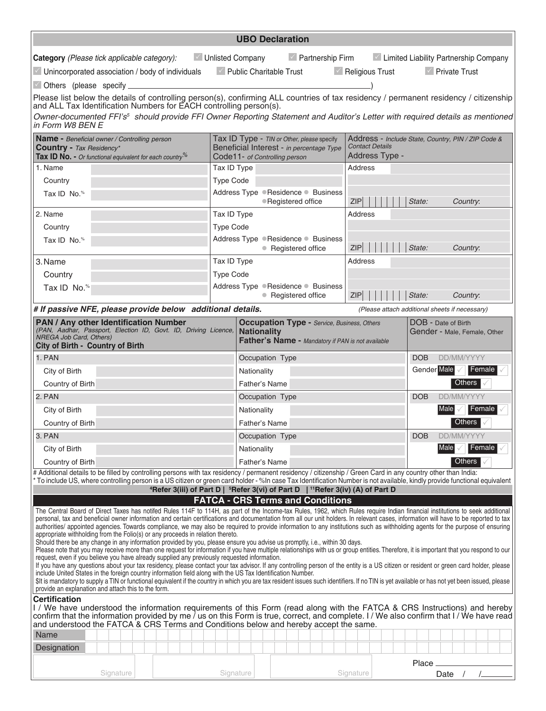|                                                                                                                                                                                                                                                                                                                                                                                                                                                                                                                                                                                                                                                                                                                                                                                                                                                                                                                                                                                                                                                                                                                                                                                                                                                              |                                | <b>UBO Declaration</b>                                               |                                                                                                                         |  |                                                                                                                                                                |                                                                                                |                    |                                                |            |                          |        |  |  |
|--------------------------------------------------------------------------------------------------------------------------------------------------------------------------------------------------------------------------------------------------------------------------------------------------------------------------------------------------------------------------------------------------------------------------------------------------------------------------------------------------------------------------------------------------------------------------------------------------------------------------------------------------------------------------------------------------------------------------------------------------------------------------------------------------------------------------------------------------------------------------------------------------------------------------------------------------------------------------------------------------------------------------------------------------------------------------------------------------------------------------------------------------------------------------------------------------------------------------------------------------------------|--------------------------------|----------------------------------------------------------------------|-------------------------------------------------------------------------------------------------------------------------|--|----------------------------------------------------------------------------------------------------------------------------------------------------------------|------------------------------------------------------------------------------------------------|--------------------|------------------------------------------------|------------|--------------------------|--------|--|--|
| Category (Please tick applicable category):                                                                                                                                                                                                                                                                                                                                                                                                                                                                                                                                                                                                                                                                                                                                                                                                                                                                                                                                                                                                                                                                                                                                                                                                                  |                                | ■ Unlisted Company                                                   |                                                                                                                         |  | $\leq$ Partnership Firm                                                                                                                                        |                                                                                                |                    | Limited Liability Partnership Company          |            |                          |        |  |  |
| Unincorporated association / body of individuals                                                                                                                                                                                                                                                                                                                                                                                                                                                                                                                                                                                                                                                                                                                                                                                                                                                                                                                                                                                                                                                                                                                                                                                                             | $\vee$ Public Charitable Trust |                                                                      |                                                                                                                         |  | $\blacksquare$ Religious Trust                                                                                                                                 |                                                                                                |                    | $\sqrt{ }$ Private Trust                       |            |                          |        |  |  |
| $\vee$ Others (please specify _                                                                                                                                                                                                                                                                                                                                                                                                                                                                                                                                                                                                                                                                                                                                                                                                                                                                                                                                                                                                                                                                                                                                                                                                                              |                                |                                                                      |                                                                                                                         |  |                                                                                                                                                                |                                                                                                |                    |                                                |            |                          |        |  |  |
| Please list below the details of controlling person(s), confirming ALL countries of tax residency / permanent residency / citizenship<br>and ALL Tax Identification Numbers for EACH controlling person(s).                                                                                                                                                                                                                                                                                                                                                                                                                                                                                                                                                                                                                                                                                                                                                                                                                                                                                                                                                                                                                                                  |                                |                                                                      |                                                                                                                         |  |                                                                                                                                                                |                                                                                                |                    |                                                |            |                          |        |  |  |
| Owner-documented FFI's <sup>5</sup> should provide FFI Owner Reporting Statement and Auditor's Letter with required details as mentioned<br>in Form W8 BEN E                                                                                                                                                                                                                                                                                                                                                                                                                                                                                                                                                                                                                                                                                                                                                                                                                                                                                                                                                                                                                                                                                                 |                                |                                                                      |                                                                                                                         |  |                                                                                                                                                                |                                                                                                |                    |                                                |            |                          |        |  |  |
| Name - Beneficial owner / Controlling person<br><b>Country - Tax Residency*</b><br>Tax ID No. - Or functional equivalent for each country <sup>%</sup>                                                                                                                                                                                                                                                                                                                                                                                                                                                                                                                                                                                                                                                                                                                                                                                                                                                                                                                                                                                                                                                                                                       |                                |                                                                      | Tax ID Type - TIN or Other, please specify<br>Beneficial Interest - in percentage Type<br>Code11- of Controlling person |  |                                                                                                                                                                | Address - Include State, Country, PIN / ZIP Code &<br><b>Contact Details</b><br>Address Type - |                    |                                                |            |                          |        |  |  |
| 1. Name                                                                                                                                                                                                                                                                                                                                                                                                                                                                                                                                                                                                                                                                                                                                                                                                                                                                                                                                                                                                                                                                                                                                                                                                                                                      | Tax ID Type                    |                                                                      |                                                                                                                         |  |                                                                                                                                                                | Address                                                                                        |                    |                                                |            |                          |        |  |  |
| Country                                                                                                                                                                                                                                                                                                                                                                                                                                                                                                                                                                                                                                                                                                                                                                                                                                                                                                                                                                                                                                                                                                                                                                                                                                                      | Type Code                      |                                                                      |                                                                                                                         |  |                                                                                                                                                                |                                                                                                |                    |                                                |            |                          |        |  |  |
| Tax ID $\,$ No. $\,^{\circ}$                                                                                                                                                                                                                                                                                                                                                                                                                                                                                                                                                                                                                                                                                                                                                                                                                                                                                                                                                                                                                                                                                                                                                                                                                                 |                                | Address Type Residence Business<br><b>ZIP</b><br>● Registered office |                                                                                                                         |  |                                                                                                                                                                |                                                                                                | State:<br>Country. |                                                |            |                          |        |  |  |
| 2. Name                                                                                                                                                                                                                                                                                                                                                                                                                                                                                                                                                                                                                                                                                                                                                                                                                                                                                                                                                                                                                                                                                                                                                                                                                                                      | Tax ID Type                    |                                                                      |                                                                                                                         |  |                                                                                                                                                                | Address                                                                                        |                    |                                                |            |                          |        |  |  |
| Country                                                                                                                                                                                                                                                                                                                                                                                                                                                                                                                                                                                                                                                                                                                                                                                                                                                                                                                                                                                                                                                                                                                                                                                                                                                      | <b>Type Code</b>               |                                                                      |                                                                                                                         |  |                                                                                                                                                                |                                                                                                |                    |                                                |            |                          |        |  |  |
| Tax ID No. <sup>%</sup>                                                                                                                                                                                                                                                                                                                                                                                                                                                                                                                                                                                                                                                                                                                                                                                                                                                                                                                                                                                                                                                                                                                                                                                                                                      |                                | Address Type ●Residence ● Business                                   | • Registered office                                                                                                     |  |                                                                                                                                                                | ZIP                                                                                            |                    | State:                                         |            | Country:                 |        |  |  |
| 3. Name                                                                                                                                                                                                                                                                                                                                                                                                                                                                                                                                                                                                                                                                                                                                                                                                                                                                                                                                                                                                                                                                                                                                                                                                                                                      | Tax ID Type                    |                                                                      |                                                                                                                         |  |                                                                                                                                                                | Address                                                                                        |                    |                                                |            |                          |        |  |  |
| Country                                                                                                                                                                                                                                                                                                                                                                                                                                                                                                                                                                                                                                                                                                                                                                                                                                                                                                                                                                                                                                                                                                                                                                                                                                                      | Type Code                      |                                                                      |                                                                                                                         |  |                                                                                                                                                                |                                                                                                |                    |                                                |            |                          |        |  |  |
| Tax ID No. <sup>%</sup>                                                                                                                                                                                                                                                                                                                                                                                                                                                                                                                                                                                                                                                                                                                                                                                                                                                                                                                                                                                                                                                                                                                                                                                                                                      |                                | Address Type . Residence . Business                                  | • Registered office                                                                                                     |  |                                                                                                                                                                | State:<br><b>ZIP</b><br>Country:                                                               |                    |                                                |            |                          |        |  |  |
| # If passive NFE, please provide below additional details.                                                                                                                                                                                                                                                                                                                                                                                                                                                                                                                                                                                                                                                                                                                                                                                                                                                                                                                                                                                                                                                                                                                                                                                                   |                                |                                                                      |                                                                                                                         |  |                                                                                                                                                                |                                                                                                |                    | (Please attach additional sheets if necessary) |            |                          |        |  |  |
| <b>PAN / Any other Identification Number</b><br>(PAN, Aadhar, Passport, Election ID, Govt. ID, Driving Licence,<br>NREGA Job Card, Others)<br><b>City of Birth - Country of Birth</b>                                                                                                                                                                                                                                                                                                                                                                                                                                                                                                                                                                                                                                                                                                                                                                                                                                                                                                                                                                                                                                                                        | <b>Nationality</b>             |                                                                      |                                                                                                                         |  | <b>Occupation Type - Service, Business, Others</b><br>DOB - Date of Birth<br>Gender - Male, Female, Other<br>Father's Name - Mandatory if PAN is not available |                                                                                                |                    |                                                |            |                          |        |  |  |
| 1. PAN                                                                                                                                                                                                                                                                                                                                                                                                                                                                                                                                                                                                                                                                                                                                                                                                                                                                                                                                                                                                                                                                                                                                                                                                                                                       |                                | Occupation Type                                                      |                                                                                                                         |  |                                                                                                                                                                |                                                                                                |                    | <b>DOB</b>                                     | DD/MM/YYYY |                          |        |  |  |
| City of Birth                                                                                                                                                                                                                                                                                                                                                                                                                                                                                                                                                                                                                                                                                                                                                                                                                                                                                                                                                                                                                                                                                                                                                                                                                                                |                                | Nationality                                                          |                                                                                                                         |  |                                                                                                                                                                |                                                                                                |                    | Gender Male                                    |            | Female                   |        |  |  |
| Country of Birth                                                                                                                                                                                                                                                                                                                                                                                                                                                                                                                                                                                                                                                                                                                                                                                                                                                                                                                                                                                                                                                                                                                                                                                                                                             |                                | Father's Name                                                        |                                                                                                                         |  |                                                                                                                                                                | Others                                                                                         |                    |                                                |            |                          |        |  |  |
| 2. PAN                                                                                                                                                                                                                                                                                                                                                                                                                                                                                                                                                                                                                                                                                                                                                                                                                                                                                                                                                                                                                                                                                                                                                                                                                                                       |                                |                                                                      | Occupation Type                                                                                                         |  |                                                                                                                                                                |                                                                                                |                    |                                                | DD/MM/YYYY |                          |        |  |  |
| City of Birth                                                                                                                                                                                                                                                                                                                                                                                                                                                                                                                                                                                                                                                                                                                                                                                                                                                                                                                                                                                                                                                                                                                                                                                                                                                |                                |                                                                      | Nationality                                                                                                             |  |                                                                                                                                                                |                                                                                                |                    |                                                | Male       |                          | Female |  |  |
| Country of Birth                                                                                                                                                                                                                                                                                                                                                                                                                                                                                                                                                                                                                                                                                                                                                                                                                                                                                                                                                                                                                                                                                                                                                                                                                                             |                                |                                                                      | Father's Name                                                                                                           |  |                                                                                                                                                                |                                                                                                |                    |                                                |            | Others                   |        |  |  |
| 3. PAN                                                                                                                                                                                                                                                                                                                                                                                                                                                                                                                                                                                                                                                                                                                                                                                                                                                                                                                                                                                                                                                                                                                                                                                                                                                       |                                |                                                                      | Occupation Type                                                                                                         |  |                                                                                                                                                                |                                                                                                |                    |                                                |            | DD/MM/YYYY<br><b>DOB</b> |        |  |  |
| City of Birth                                                                                                                                                                                                                                                                                                                                                                                                                                                                                                                                                                                                                                                                                                                                                                                                                                                                                                                                                                                                                                                                                                                                                                                                                                                |                                |                                                                      | Nationality                                                                                                             |  |                                                                                                                                                                |                                                                                                |                    |                                                |            | Male <br>  Female        |        |  |  |
| Father's Name<br>Country of Birth                                                                                                                                                                                                                                                                                                                                                                                                                                                                                                                                                                                                                                                                                                                                                                                                                                                                                                                                                                                                                                                                                                                                                                                                                            |                                |                                                                      |                                                                                                                         |  |                                                                                                                                                                |                                                                                                |                    |                                                |            | Others                   |        |  |  |
| # Additional details to be filled by controlling persons with tax residency / permanent residency / citizenship / Green Card in any country other than India:<br>* To include US, where controlling person is a US citizen or green card holder - %In case Tax Identification Number is not available, kindly provide functional equivalent<br><sup>4</sup> Refer 3(iii) of Part D   <sup>5</sup> Refer 3(vi) of Part D   <sup>11</sup> Refer 3(iv) (A) of Part D                                                                                                                                                                                                                                                                                                                                                                                                                                                                                                                                                                                                                                                                                                                                                                                            |                                |                                                                      |                                                                                                                         |  |                                                                                                                                                                |                                                                                                |                    |                                                |            |                          |        |  |  |
|                                                                                                                                                                                                                                                                                                                                                                                                                                                                                                                                                                                                                                                                                                                                                                                                                                                                                                                                                                                                                                                                                                                                                                                                                                                              |                                | <b>FATCA - CRS Terms and Conditions</b>                              |                                                                                                                         |  |                                                                                                                                                                |                                                                                                |                    |                                                |            |                          |        |  |  |
| The Central Board of Direct Taxes has notifed Rules 114F to 114H, as part of the Income-tax Rules, 1962, which Rules require Indian financial institutions to seek additional<br>personal, tax and beneficial owner information and certain certifications and documentation from all our unit holders. In relevant cases, information will have to be reported to tax<br>authorities/ appointed agencies. Towards compliance, we may also be required to provide information to any institutions such as withholding agents for the purpose of ensuring<br>appropriate withholding from the Folio(s) or any proceeds in relation thereto.<br>Should there be any change in any information provided by you, please ensure you advise us promptly, i.e., within 30 days.<br>Please note that you may receive more than one request for information if you have multiple relationships with us or group entities. Therefore, it is important that you respond to our<br>request, even if you believe you have already supplied any previously requested information.<br>If you have any questions about your tax residency, please contact your tax advisor. If any controlling person of the entity is a US citizen or resident or green card holder, please |                                |                                                                      |                                                                                                                         |  |                                                                                                                                                                |                                                                                                |                    |                                                |            |                          |        |  |  |
| include United States in the foreign country information field along with the US Tax Identification Number.<br>\$It is mandatory to supply a TIN or functional equivalent if the country in which you are tax resident issues such identifiers. If no TIN is yet available or has not yet been issued, please                                                                                                                                                                                                                                                                                                                                                                                                                                                                                                                                                                                                                                                                                                                                                                                                                                                                                                                                                |                                |                                                                      |                                                                                                                         |  |                                                                                                                                                                |                                                                                                |                    |                                                |            |                          |        |  |  |
| provide an explanation and attach this to the form.<br><b>Certification</b><br>I / We have understood the information requirements of this Form (read along with the FATCA & CRS Instructions) and hereby                                                                                                                                                                                                                                                                                                                                                                                                                                                                                                                                                                                                                                                                                                                                                                                                                                                                                                                                                                                                                                                    |                                |                                                                      |                                                                                                                         |  |                                                                                                                                                                |                                                                                                |                    |                                                |            |                          |        |  |  |
| confirm that the information provided by me / us on this Form is true, correct, and complete. I / We also confirm that I / We have read<br>and understood the FATCA & CRS Terms and Conditions below and hereby accept the same.                                                                                                                                                                                                                                                                                                                                                                                                                                                                                                                                                                                                                                                                                                                                                                                                                                                                                                                                                                                                                             |                                |                                                                      |                                                                                                                         |  |                                                                                                                                                                |                                                                                                |                    |                                                |            |                          |        |  |  |
| Name                                                                                                                                                                                                                                                                                                                                                                                                                                                                                                                                                                                                                                                                                                                                                                                                                                                                                                                                                                                                                                                                                                                                                                                                                                                         |                                |                                                                      |                                                                                                                         |  |                                                                                                                                                                |                                                                                                |                    |                                                |            |                          |        |  |  |
| Designation                                                                                                                                                                                                                                                                                                                                                                                                                                                                                                                                                                                                                                                                                                                                                                                                                                                                                                                                                                                                                                                                                                                                                                                                                                                  |                                |                                                                      |                                                                                                                         |  |                                                                                                                                                                |                                                                                                |                    |                                                |            |                          |        |  |  |
| Signature                                                                                                                                                                                                                                                                                                                                                                                                                                                                                                                                                                                                                                                                                                                                                                                                                                                                                                                                                                                                                                                                                                                                                                                                                                                    |                                | Signature                                                            |                                                                                                                         |  |                                                                                                                                                                | Signature                                                                                      |                    | Place                                          | Date       |                          |        |  |  |
|                                                                                                                                                                                                                                                                                                                                                                                                                                                                                                                                                                                                                                                                                                                                                                                                                                                                                                                                                                                                                                                                                                                                                                                                                                                              |                                |                                                                      |                                                                                                                         |  |                                                                                                                                                                |                                                                                                |                    |                                                |            |                          |        |  |  |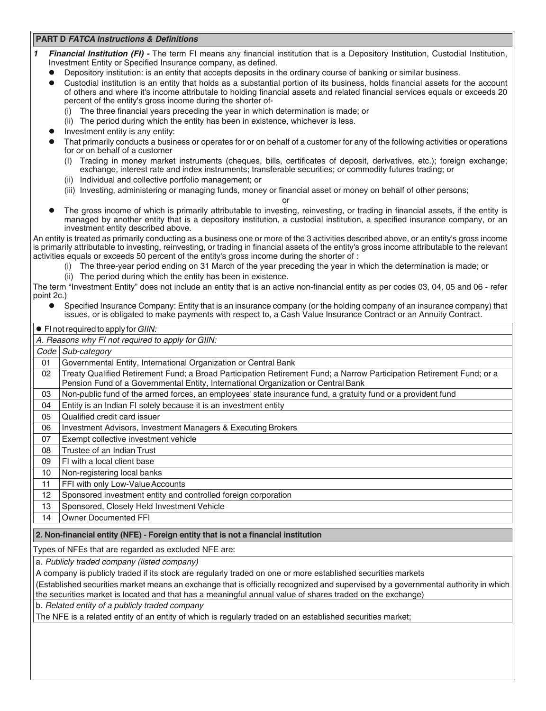## **PART D FATCA Instructions & Definitions**

- *1 Financial Institution (FI)* The term FI means any financial institution that is a Depository Institution, Custodial Institution, Investment Entity or Specified Insurance company, as defined.
	- **•** Depository institution: is an entity that accepts deposits in the ordinary course of banking or similar business.
	- l Custodial institution is an entity that holds as a substantial portion of its business, holds financial assets for the account of others and where it's income attributale to holding financial assets and related financial services equals or exceeds 20 percent of the entity's gross income during the shorter of-
		- The three financial years preceding the year in which determination is made; or
		- (ii) The period during which the entity has been in existence, whichever is less.
	- Investment entity is any entity:
		- That primarily conducts a business or operates for or on behalf of a customer for any of the following activities or operations for or on behalf of a customer
			- (I) Trading in money market instruments (cheques, bills, certificates of deposit, derivatives, etc.); foreign exchange; exchange, interest rate and index instruments; transferable securities; or commodity futures trading; or
			- (ii) Individual and collective portfolio management; or
			- (iii) Investing, administering or managing funds, money or financial asset or money on behalf of other persons;
				- or
	- l The gross income of which is primarily attributable to investing, reinvesting, or trading in financial assets, if the entity is managed by another entity that is a depository institution, a custodial institution, a specified insurance company, or an investment entity described above.

An entity is treated as primarily conducting as a business one or more of the 3 activities described above, or an entity's gross income is primarily attributable to investing, reinvesting, or trading in financial assets of the entity's gross income attributable to the relevant activities equals or exceeds 50 percent of the entity's gross income during the shorter of :

- (i) The three-year period ending on 31 March of the year preceding the year in which the determination is made; or
- (ii) The period during which the entity has been in existence.

The term "Investment Entity" does not include an entity that is an active non-financial entity as per codes 03, 04, 05 and 06 - refer point 2c.)

l Specified Insurance Company: Entity that is an insurance company (or the holding company of an insurance company) that issues, or is obligated to make payments with respect to, a Cash Value Insurance Contract or an Annuity Contract.

|                                                                                                                                                                                                                                                 | $\bullet$ Fl not required to apply for GIIN:                                                                                                                                                               |  |  |  |
|-------------------------------------------------------------------------------------------------------------------------------------------------------------------------------------------------------------------------------------------------|------------------------------------------------------------------------------------------------------------------------------------------------------------------------------------------------------------|--|--|--|
| A. Reasons why FI not required to apply for GIIN:                                                                                                                                                                                               |                                                                                                                                                                                                            |  |  |  |
| $Code \vert$                                                                                                                                                                                                                                    | Sub-category                                                                                                                                                                                               |  |  |  |
| 01                                                                                                                                                                                                                                              | Governmental Entity, International Organization or Central Bank                                                                                                                                            |  |  |  |
| 02                                                                                                                                                                                                                                              | Treaty Qualified Retirement Fund; a Broad Participation Retirement Fund; a Narrow Participation Retirement Fund; or a<br>Pension Fund of a Governmental Entity, International Organization or Central Bank |  |  |  |
| 03                                                                                                                                                                                                                                              | Non-public fund of the armed forces, an employees' state insurance fund, a gratuity fund or a provident fund                                                                                               |  |  |  |
| 04                                                                                                                                                                                                                                              | Entity is an Indian FI solely because it is an investment entity                                                                                                                                           |  |  |  |
| 05                                                                                                                                                                                                                                              | Qualified credit card issuer                                                                                                                                                                               |  |  |  |
| 06                                                                                                                                                                                                                                              | Investment Advisors, Investment Managers & Executing Brokers                                                                                                                                               |  |  |  |
| 07                                                                                                                                                                                                                                              | Exempt collective investment vehicle                                                                                                                                                                       |  |  |  |
| 08                                                                                                                                                                                                                                              | Trustee of an Indian Trust                                                                                                                                                                                 |  |  |  |
| 09                                                                                                                                                                                                                                              | FI with a local client base                                                                                                                                                                                |  |  |  |
| 10                                                                                                                                                                                                                                              | Non-registering local banks                                                                                                                                                                                |  |  |  |
| 11                                                                                                                                                                                                                                              | FFI with only Low-Value Accounts                                                                                                                                                                           |  |  |  |
| 12                                                                                                                                                                                                                                              | Sponsored investment entity and controlled foreign corporation                                                                                                                                             |  |  |  |
| 13                                                                                                                                                                                                                                              | Sponsored, Closely Held Investment Vehicle                                                                                                                                                                 |  |  |  |
| 14                                                                                                                                                                                                                                              | <b>Owner Documented FFI</b>                                                                                                                                                                                |  |  |  |
|                                                                                                                                                                                                                                                 | 2. Non-financial entity (NFE) - Foreign entity that is not a financial institution                                                                                                                         |  |  |  |
|                                                                                                                                                                                                                                                 | Types of NFEs that are regarded as excluded NFE are:                                                                                                                                                       |  |  |  |
| a. Publicly traded company (listed company)                                                                                                                                                                                                     |                                                                                                                                                                                                            |  |  |  |
| A company is publicly traded if its stock are regularly traded on one or more established securities markets                                                                                                                                    |                                                                                                                                                                                                            |  |  |  |
| (Established securities market means an exchange that is officially recognized and supervised by a governmental authority in which<br>the securities market is located and that has a meaningful annual value of shares traded on the exchange) |                                                                                                                                                                                                            |  |  |  |
| b. Related entity of a publicly traded company                                                                                                                                                                                                  |                                                                                                                                                                                                            |  |  |  |
|                                                                                                                                                                                                                                                 | The NFE is a related entity of an entity of which is regularly traded on an established securities market;                                                                                                 |  |  |  |
|                                                                                                                                                                                                                                                 |                                                                                                                                                                                                            |  |  |  |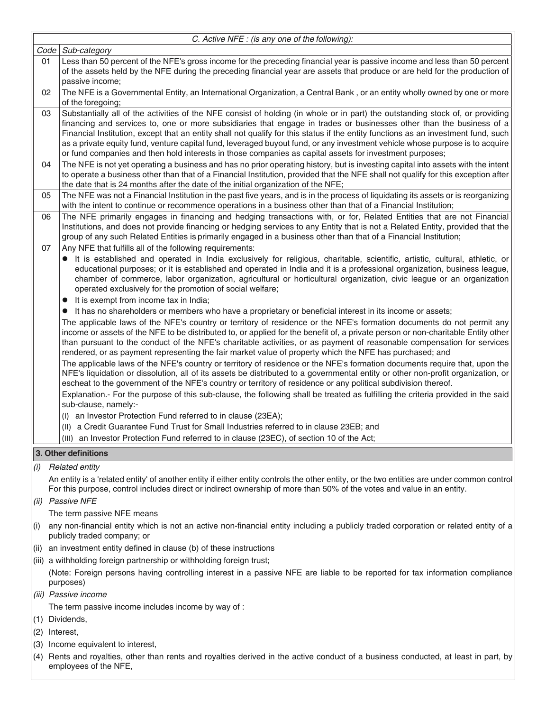|      | C. Active NFE : (is any one of the following):                                                                                                                                                                                                                                                                                                                                                                                                                                                                                                                                                                                          |  |  |  |  |
|------|-----------------------------------------------------------------------------------------------------------------------------------------------------------------------------------------------------------------------------------------------------------------------------------------------------------------------------------------------------------------------------------------------------------------------------------------------------------------------------------------------------------------------------------------------------------------------------------------------------------------------------------------|--|--|--|--|
| Code | Sub-category                                                                                                                                                                                                                                                                                                                                                                                                                                                                                                                                                                                                                            |  |  |  |  |
| 01   | Less than 50 percent of the NFE's gross income for the preceding financial year is passive income and less than 50 percent<br>of the assets held by the NFE during the preceding financial year are assets that produce or are held for the production of<br>passive income;                                                                                                                                                                                                                                                                                                                                                            |  |  |  |  |
| 02   | The NFE is a Governmental Entity, an International Organization, a Central Bank, or an entity wholly owned by one or more<br>of the foregoing;                                                                                                                                                                                                                                                                                                                                                                                                                                                                                          |  |  |  |  |
| 03   | Substantially all of the activities of the NFE consist of holding (in whole or in part) the outstanding stock of, or providing<br>financing and services to, one or more subsidiaries that engage in trades or businesses other than the business of a<br>Financial Institution, except that an entity shall not qualify for this status if the entity functions as an investment fund, such<br>as a private equity fund, venture capital fund, leveraged buyout fund, or any investment vehicle whose purpose is to acquire<br>or fund companies and then hold interests in those companies as capital assets for investment purposes; |  |  |  |  |
| 04   | The NFE is not yet operating a business and has no prior operating history, but is investing capital into assets with the intent<br>to operate a business other than that of a Financial Institution, provided that the NFE shall not qualify for this exception after<br>the date that is 24 months after the date of the initial organization of the NFE;                                                                                                                                                                                                                                                                             |  |  |  |  |
| 05   | The NFE was not a Financial Institution in the past five years, and is in the process of liquidating its assets or is reorganizing<br>with the intent to continue or recommence operations in a business other than that of a Financial Institution;                                                                                                                                                                                                                                                                                                                                                                                    |  |  |  |  |
| 06   | The NFE primarily engages in financing and hedging transactions with, or for, Related Entities that are not Financial<br>Institutions, and does not provide financing or hedging services to any Entity that is not a Related Entity, provided that the<br>group of any such Related Entities is primarily engaged in a business other than that of a Financial Institution;                                                                                                                                                                                                                                                            |  |  |  |  |
| 07   | Any NFE that fulfills all of the following requirements:                                                                                                                                                                                                                                                                                                                                                                                                                                                                                                                                                                                |  |  |  |  |
|      | It is established and operated in India exclusively for religious, charitable, scientific, artistic, cultural, athletic, or<br>$\bullet$<br>educational purposes; or it is established and operated in India and it is a professional organization, business league,<br>chamber of commerce, labor organization, agricultural or horticultural organization, civic league or an organization<br>operated exclusively for the promotion of social welfare;                                                                                                                                                                               |  |  |  |  |
|      | It is exempt from income tax in India;<br>$\bullet$                                                                                                                                                                                                                                                                                                                                                                                                                                                                                                                                                                                     |  |  |  |  |
|      | It has no shareholders or members who have a proprietary or beneficial interest in its income or assets;<br>$\bullet$<br>The applicable laws of the NFE's country or territory of residence or the NFE's formation documents do not permit any<br>income or assets of the NFE to be distributed to, or applied for the benefit of, a private person or non-charitable Entity other<br>than pursuant to the conduct of the NFE's charitable activities, or as payment of reasonable compensation for services                                                                                                                            |  |  |  |  |
|      | rendered, or as payment representing the fair market value of property which the NFE has purchased; and<br>The applicable laws of the NFE's country or territory of residence or the NFE's formation documents require that, upon the<br>NFE's liquidation or dissolution, all of its assets be distributed to a governmental entity or other non-profit organization, or<br>escheat to the government of the NFE's country or territory of residence or any political subdivision thereof.<br>Explanation.- For the purpose of this sub-clause, the following shall be treated as fulfilling the criteria provided in the said         |  |  |  |  |
|      | sub-clause, namely:-                                                                                                                                                                                                                                                                                                                                                                                                                                                                                                                                                                                                                    |  |  |  |  |
|      | (I) an Investor Protection Fund referred to in clause (23EA);                                                                                                                                                                                                                                                                                                                                                                                                                                                                                                                                                                           |  |  |  |  |
|      | (II) a Credit Guarantee Fund Trust for Small Industries referred to in clause 23EB; and                                                                                                                                                                                                                                                                                                                                                                                                                                                                                                                                                 |  |  |  |  |
|      | (III) an Investor Protection Fund referred to in clause (23EC), of section 10 of the Act;                                                                                                                                                                                                                                                                                                                                                                                                                                                                                                                                               |  |  |  |  |
|      | 3. Other definitions                                                                                                                                                                                                                                                                                                                                                                                                                                                                                                                                                                                                                    |  |  |  |  |
| (i)  | <b>Related entity</b>                                                                                                                                                                                                                                                                                                                                                                                                                                                                                                                                                                                                                   |  |  |  |  |
|      | An entity is a 'related entity' of another entity if either entity controls the other entity, or the two entities are under common control<br>For this purpose, control includes direct or indirect ownership of more than 50% of the votes and value in an entity.                                                                                                                                                                                                                                                                                                                                                                     |  |  |  |  |
| (ii) | <b>Passive NFE</b>                                                                                                                                                                                                                                                                                                                                                                                                                                                                                                                                                                                                                      |  |  |  |  |
|      | The term passive NFE means                                                                                                                                                                                                                                                                                                                                                                                                                                                                                                                                                                                                              |  |  |  |  |
| (i)  | any non-financial entity which is not an active non-financial entity including a publicly traded corporation or related entity of a<br>publicly traded company; or                                                                                                                                                                                                                                                                                                                                                                                                                                                                      |  |  |  |  |
| (ii) | an investment entity defined in clause (b) of these instructions                                                                                                                                                                                                                                                                                                                                                                                                                                                                                                                                                                        |  |  |  |  |
|      | (iii) a withholding foreign partnership or withholding foreign trust;                                                                                                                                                                                                                                                                                                                                                                                                                                                                                                                                                                   |  |  |  |  |
|      | (Note: Foreign persons having controlling interest in a passive NFE are liable to be reported for tax information compliance<br>purposes)                                                                                                                                                                                                                                                                                                                                                                                                                                                                                               |  |  |  |  |
|      | (iii) Passive income                                                                                                                                                                                                                                                                                                                                                                                                                                                                                                                                                                                                                    |  |  |  |  |
|      | The term passive income includes income by way of :                                                                                                                                                                                                                                                                                                                                                                                                                                                                                                                                                                                     |  |  |  |  |
| (1)  | Dividends,                                                                                                                                                                                                                                                                                                                                                                                                                                                                                                                                                                                                                              |  |  |  |  |
| (2)  | Interest,                                                                                                                                                                                                                                                                                                                                                                                                                                                                                                                                                                                                                               |  |  |  |  |
| (3)  | Income equivalent to interest,                                                                                                                                                                                                                                                                                                                                                                                                                                                                                                                                                                                                          |  |  |  |  |
|      | (4) Rents and royalties, other than rents and royalties derived in the active conduct of a business conducted, at least in part, by<br>employees of the NFE,                                                                                                                                                                                                                                                                                                                                                                                                                                                                            |  |  |  |  |

F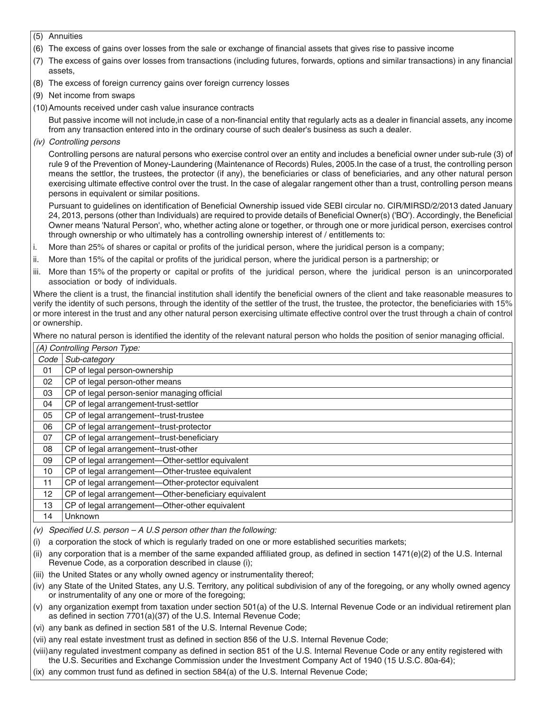(5) Annuities

- (6) The excess of gains over losses from the sale or exchange of financial assets that gives rise to passive income
- (7) The excess of gains over losses from transactions (including futures, forwards, options and similar transactions) in any financial assets,
- (8) The excess of foreign currency gains over foreign currency losses
- (9) Net income from swaps
- (10)Amounts received under cash value insurance contracts

But passive income will not include,in case of a non-financial entity that regularly acts as a dealer in financial assets, any income from any transaction entered into in the ordinary course of such dealer's business as such a dealer.

*(iv) Controlling persons*

Controlling persons are natural persons who exercise control over an entity and includes a beneficial owner under sub-rule (3) of rule 9 of the Prevention of Money-Laundering (Maintenance of Records) Rules, 2005.In the case of a trust, the controlling person means the settlor, the trustees, the protector (if any), the beneficiaries or class of beneficiaries, and any other natural person exercising ultimate effective control over the trust. In the case of alegalar rangement other than a trust, controlling person means persons in equivalent or similar positions.

Pursuant to guidelines on identification of Beneficial Ownership issued vide SEBI circular no. CIR/MIRSD/2/2013 dated January 24, 2013, persons (other than Individuals) are required to provide details of Beneficial Owner(s) ('BO'). Accordingly, the Beneficial Owner means 'Natural Person', who, whether acting alone or together, or through one or more juridical person, exercises control through ownership or who ultimately has a controlling ownership interest of / entitlements to:

- i. More than 25% of shares or capital or profits of the juridical person, where the juridical person is a company;
- ii. More than 15% of the capital or profits of the juridical person, where the juridical person is a partnership; or
- iii. More than 15% of the property or capital or profits of the juridical person, where the juridical person is an unincorporated association or body of individuals.

Where the client is a trust, the financial institution shall identify the beneficial owners of the client and take reasonable measures to verify the identity of such persons, through the identity of the settler of the trust, the trustee, the protector, the beneficiaries with 15% or more interest in the trust and any other natural person exercising ultimate effective control over the trust through a chain of control or ownership.

Where no natural person is identified the identity of the relevant natural person who holds the position of senior managing official.

|      | (A) Controlling Person Type:                         |  |  |  |
|------|------------------------------------------------------|--|--|--|
| Code | Sub-category                                         |  |  |  |
| 01   | CP of legal person-ownership                         |  |  |  |
| 02   | CP of legal person-other means                       |  |  |  |
| 03   | CP of legal person-senior managing official          |  |  |  |
| 04   | CP of legal arrangement-trust-settlor                |  |  |  |
| 05   | CP of legal arrangement--trust-trustee               |  |  |  |
| 06   | CP of legal arrangement--trust-protector             |  |  |  |
| 07   | CP of legal arrangement--trust-beneficiary           |  |  |  |
| 08   | CP of legal arrangement--trust-other                 |  |  |  |
| 09   | CP of legal arrangement-Other-settlor equivalent     |  |  |  |
| 10   | CP of legal arrangement-Other-trustee equivalent     |  |  |  |
| 11   | CP of legal arrangement-Other-protector equivalent   |  |  |  |
| 12   | CP of legal arrangement-Other-beneficiary equivalent |  |  |  |
| 13   | CP of legal arrangement-Other-other equivalent       |  |  |  |
| 14   | Unknown                                              |  |  |  |

*(v)* Specified *U.S. person – A U.S person other than the following:*

(i) a corporation the stock of which is regularly traded on one or more established securities markets;

- (ii) any corporation that is a member of the same expanded affiliated group, as defined in section  $1471(e)(2)$  of the U.S. Internal Revenue Code, as a corporation described in clause (i);
- (iii) the United States or any wholly owned agency or instrumentality thereof;
- (iv) any State of the United States, any U.S. Territory, any political subdivision of any of the foregoing, or any wholly owned agency or instrumentality of any one or more of the foregoing;
- (v) any organization exempt from taxation under section 501(a) of the U.S. Internal Revenue Code or an individual retirement plan as defined in section 7701(a)(37) of the U.S. Internal Revenue Code;
- (vi) any bank as defined in section 581 of the U.S. Internal Revenue Code;
- (vii) any real estate investment trust as defined in section 856 of the U.S. Internal Revenue Code;
- (viii)any regulated investment company as defined in section 851 of the U.S. Internal Revenue Code or any entity registered with the U.S. Securities and Exchange Commission under the Investment Company Act of 1940 (15 U.S.C. 80a-64);
- (ix) any common trust fund as defined in section 584(a) of the U.S. Internal Revenue Code;